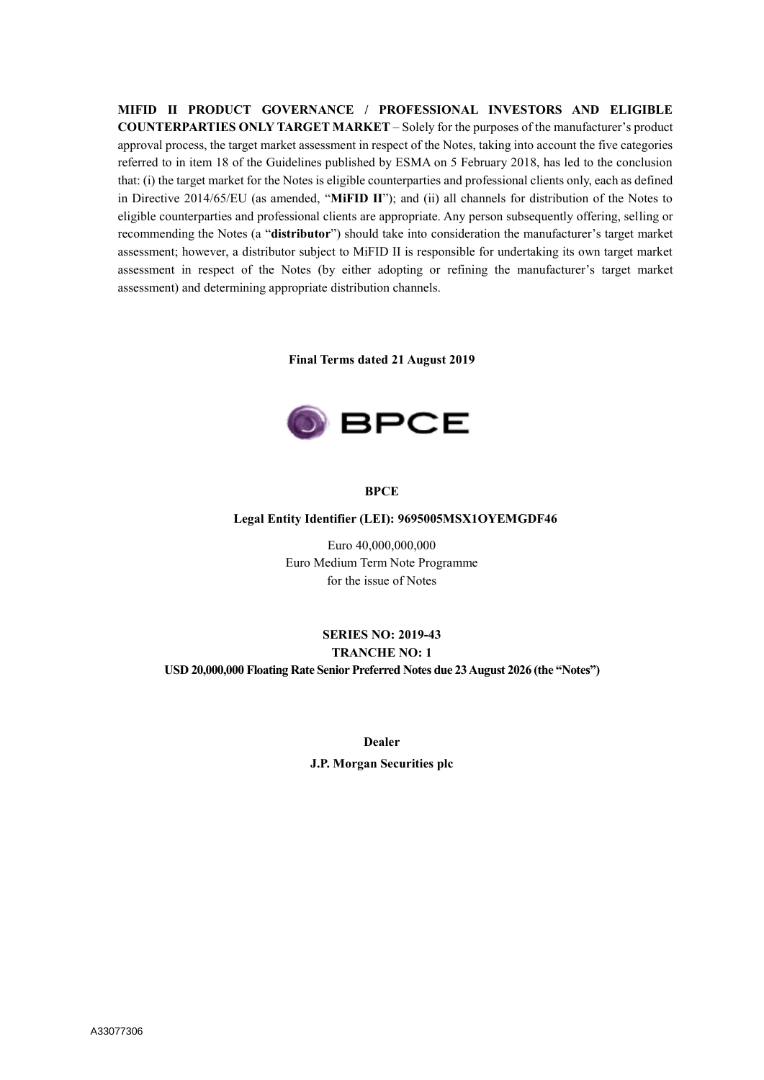**MIFID II PRODUCT GOVERNANCE / PROFESSIONAL INVESTORS AND ELIGIBLE COUNTERPARTIES ONLY TARGET MARKET** – Solely for the purposes of the manufacturer's product approval process, the target market assessment in respect of the Notes, taking into account the five categories referred to in item 18 of the Guidelines published by ESMA on 5 February 2018, has led to the conclusion that: (i) the target market for the Notes is eligible counterparties and professional clients only, each as defined in Directive 2014/65/EU (as amended, "**MiFID II**"); and (ii) all channels for distribution of the Notes to eligible counterparties and professional clients are appropriate. Any person subsequently offering, selling or recommending the Notes (a "**distributor**") should take into consideration the manufacturer's target market assessment; however, a distributor subject to MiFID II is responsible for undertaking its own target market assessment in respect of the Notes (by either adopting or refining the manufacturer's target market assessment) and determining appropriate distribution channels.

**Final Terms dated 21 August 2019**



#### **BPCE**

#### **Legal Entity Identifier (LEI): 9695005MSX1OYEMGDF46**

Euro 40,000,000,000 Euro Medium Term Note Programme for the issue of Notes

# **SERIES NO: 2019-43 TRANCHE NO: 1 USD 20,000,000 Floating Rate Senior Preferred Notes due 23 August 2026 (the "Notes")**

**Dealer**

**J.P. Morgan Securities plc**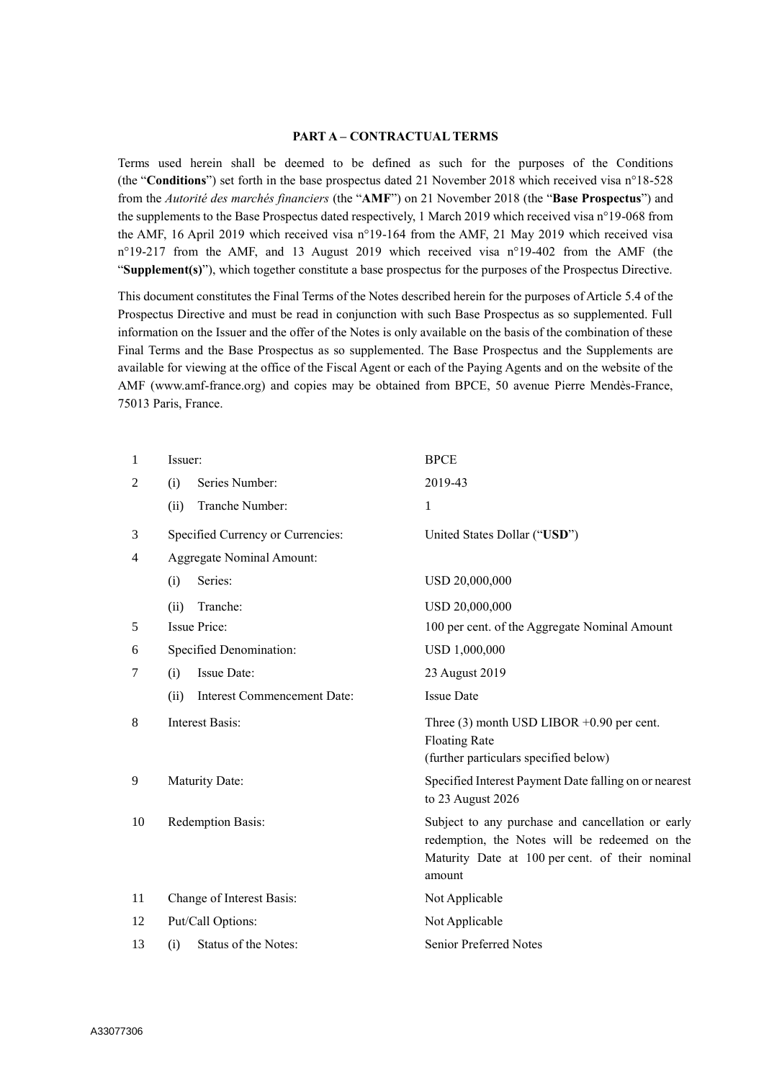#### **PART A – CONTRACTUAL TERMS**

Terms used herein shall be deemed to be defined as such for the purposes of the Conditions (the "**Conditions**") set forth in the base prospectus dated 21 November 2018 which received visa n°18-528 from the *Autorité des marchés financiers* (the "**AMF**") on 21 November 2018 (the "**Base Prospectus**") and the supplements to the Base Prospectus dated respectively, 1 March 2019 which received visa n°19-068 from the AMF, 16 April 2019 which received visa n°19-164 from the AMF, 21 May 2019 which received visa n°19-217 from the AMF, and 13 August 2019 which received visa n°19-402 from the AMF (the "**Supplement(s)**"), which together constitute a base prospectus for the purposes of the Prospectus Directive.

This document constitutes the Final Terms of the Notes described herein for the purposes of Article 5.4 of the Prospectus Directive and must be read in conjunction with such Base Prospectus as so supplemented. Full information on the Issuer and the offer of the Notes is only available on the basis of the combination of these Final Terms and the Base Prospectus as so supplemented. The Base Prospectus and the Supplements are available for viewing at the office of the Fiscal Agent or each of the Paying Agents and on the website of the AMF (www.amf-france.org) and copies may be obtained from BPCE, 50 avenue Pierre Mendès-France, 75013 Paris, France.

| 1              | Issuer:                             | <b>BPCE</b>                                                                                                                                                     |  |  |
|----------------|-------------------------------------|-----------------------------------------------------------------------------------------------------------------------------------------------------------------|--|--|
| $\overline{2}$ | Series Number:<br>(i)               | 2019-43                                                                                                                                                         |  |  |
|                | Tranche Number:<br>(ii)             | 1                                                                                                                                                               |  |  |
| 3              | Specified Currency or Currencies:   | United States Dollar ("USD")                                                                                                                                    |  |  |
| 4              | Aggregate Nominal Amount:           |                                                                                                                                                                 |  |  |
|                | Series:<br>(i)                      | USD 20,000,000                                                                                                                                                  |  |  |
|                | (ii)<br>Tranche:                    | USD 20,000,000                                                                                                                                                  |  |  |
| 5              | Issue Price:                        | 100 per cent. of the Aggregate Nominal Amount                                                                                                                   |  |  |
| 6              | Specified Denomination:             | USD 1,000,000                                                                                                                                                   |  |  |
| 7              | Issue Date:<br>(i)                  | 23 August 2019                                                                                                                                                  |  |  |
|                | Interest Commencement Date:<br>(ii) | <b>Issue Date</b>                                                                                                                                               |  |  |
| 8              | <b>Interest Basis:</b>              | Three $(3)$ month USD LIBOR +0.90 per cent.<br><b>Floating Rate</b><br>(further particulars specified below)                                                    |  |  |
| 9              | Maturity Date:                      | Specified Interest Payment Date falling on or nearest<br>to 23 August 2026                                                                                      |  |  |
| 10             | Redemption Basis:                   | Subject to any purchase and cancellation or early<br>redemption, the Notes will be redeemed on the<br>Maturity Date at 100 per cent. of their nominal<br>amount |  |  |
| 11             | Change of Interest Basis:           | Not Applicable                                                                                                                                                  |  |  |
| 12             | Put/Call Options:                   | Not Applicable                                                                                                                                                  |  |  |
| 13             | Status of the Notes:<br>(i)         | Senior Preferred Notes                                                                                                                                          |  |  |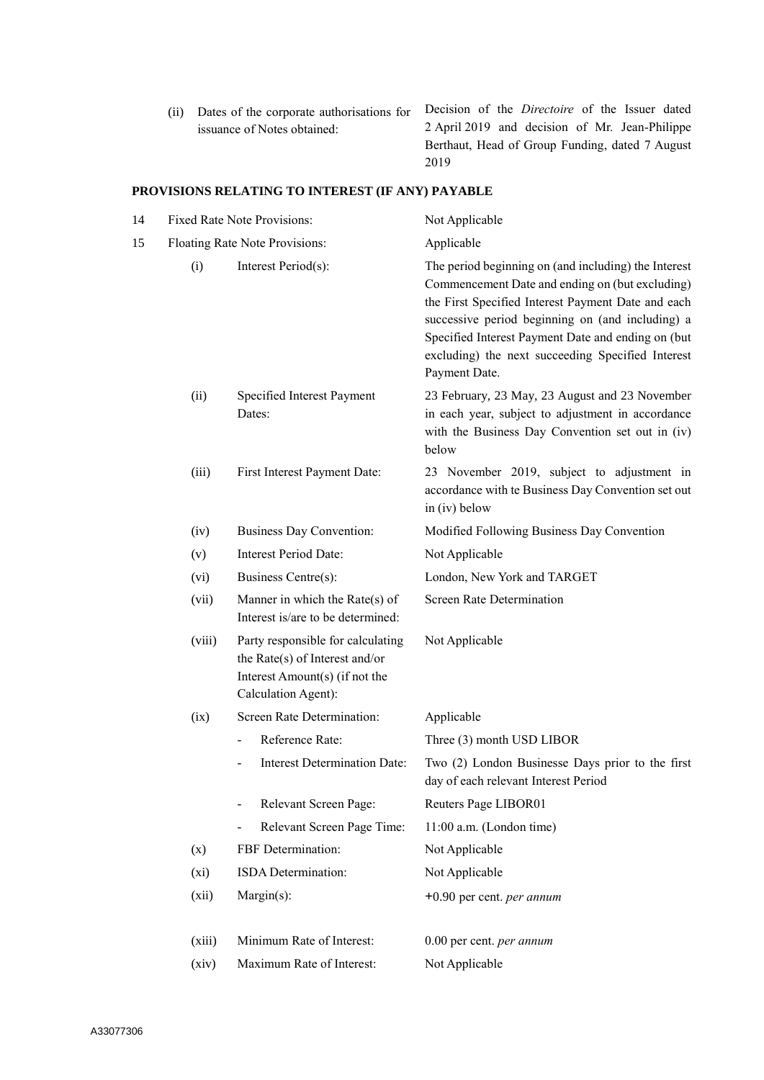(ii) Dates of the corporate authorisations for issuance of Notes obtained:

Decision of the *Directoire* of the Issuer dated 2 April 2019 and decision of Mr. Jean-Philippe Berthaut, Head of Group Funding, dated 7 August 2019

# **PROVISIONS RELATING TO INTEREST (IF ANY) PAYABLE**

| 14 |        | Fixed Rate Note Provisions:                                                                                                  | Not Applicable                                                                                                                                                                                                                                                                                                                                |  |  |
|----|--------|------------------------------------------------------------------------------------------------------------------------------|-----------------------------------------------------------------------------------------------------------------------------------------------------------------------------------------------------------------------------------------------------------------------------------------------------------------------------------------------|--|--|
| 15 |        | Floating Rate Note Provisions:                                                                                               | Applicable                                                                                                                                                                                                                                                                                                                                    |  |  |
|    | (i)    | Interest Period(s):                                                                                                          | The period beginning on (and including) the Interest<br>Commencement Date and ending on (but excluding)<br>the First Specified Interest Payment Date and each<br>successive period beginning on (and including) a<br>Specified Interest Payment Date and ending on (but<br>excluding) the next succeeding Specified Interest<br>Payment Date. |  |  |
|    | (ii)   | Specified Interest Payment<br>Dates:                                                                                         | 23 February, 23 May, 23 August and 23 November<br>in each year, subject to adjustment in accordance<br>with the Business Day Convention set out in (iv)<br>below                                                                                                                                                                              |  |  |
|    | (iii)  | First Interest Payment Date:                                                                                                 | 23 November 2019, subject to adjustment in<br>accordance with te Business Day Convention set out<br>in $(iv)$ below                                                                                                                                                                                                                           |  |  |
|    | (iv)   | <b>Business Day Convention:</b>                                                                                              | Modified Following Business Day Convention                                                                                                                                                                                                                                                                                                    |  |  |
|    | (v)    | <b>Interest Period Date:</b>                                                                                                 | Not Applicable                                                                                                                                                                                                                                                                                                                                |  |  |
|    | (vi)   | Business Centre(s):                                                                                                          | London, New York and TARGET                                                                                                                                                                                                                                                                                                                   |  |  |
|    | (vii)  | Manner in which the Rate(s) of<br>Interest is/are to be determined:                                                          | <b>Screen Rate Determination</b>                                                                                                                                                                                                                                                                                                              |  |  |
|    | (viii) | Party responsible for calculating<br>the Rate(s) of Interest and/or<br>Interest Amount(s) (if not the<br>Calculation Agent): | Not Applicable                                                                                                                                                                                                                                                                                                                                |  |  |
|    | (ix)   | Screen Rate Determination:                                                                                                   | Applicable                                                                                                                                                                                                                                                                                                                                    |  |  |
|    |        | Reference Rate:                                                                                                              | Three (3) month USD LIBOR                                                                                                                                                                                                                                                                                                                     |  |  |
|    |        | <b>Interest Determination Date:</b>                                                                                          | Two (2) London Businesse Days prior to the first<br>day of each relevant Interest Period                                                                                                                                                                                                                                                      |  |  |
|    |        | Relevant Screen Page:                                                                                                        | Reuters Page LIBOR01                                                                                                                                                                                                                                                                                                                          |  |  |
|    |        | Relevant Screen Page Time:                                                                                                   | 11:00 a.m. (London time)                                                                                                                                                                                                                                                                                                                      |  |  |
|    | (x)    | FBF Determination:                                                                                                           | Not Applicable                                                                                                                                                                                                                                                                                                                                |  |  |
|    | (xi)   | ISDA Determination:                                                                                                          | Not Applicable                                                                                                                                                                                                                                                                                                                                |  |  |
|    | (xii)  | Margin(s):                                                                                                                   | $+0.90$ per cent. <i>per annum</i>                                                                                                                                                                                                                                                                                                            |  |  |
|    | (xiii) | Minimum Rate of Interest:                                                                                                    | 0.00 per cent. per annum                                                                                                                                                                                                                                                                                                                      |  |  |
|    | (xiv)  | Maximum Rate of Interest:                                                                                                    | Not Applicable                                                                                                                                                                                                                                                                                                                                |  |  |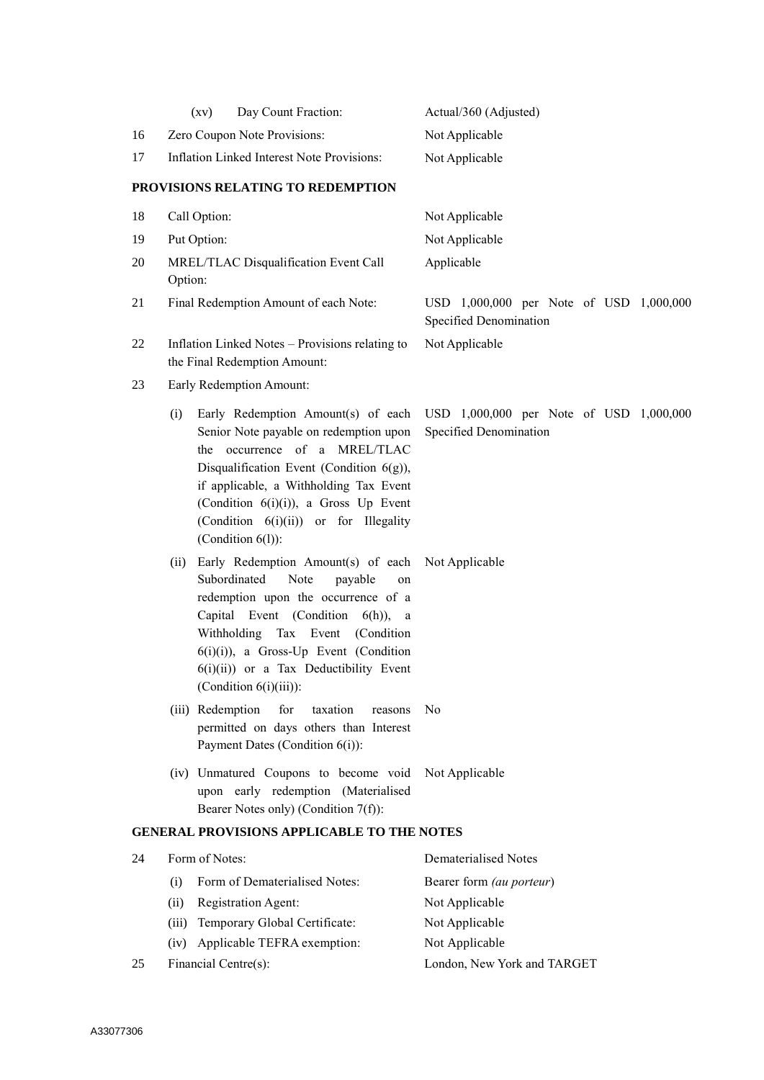|    | Day Count Fraction:<br>$\left( xy\right)$                                                                                                                                                                                                                                                                                               | Actual/360 (Adjusted)                                             |
|----|-----------------------------------------------------------------------------------------------------------------------------------------------------------------------------------------------------------------------------------------------------------------------------------------------------------------------------------------|-------------------------------------------------------------------|
| 16 | Zero Coupon Note Provisions:                                                                                                                                                                                                                                                                                                            | Not Applicable                                                    |
| 17 | Inflation Linked Interest Note Provisions:                                                                                                                                                                                                                                                                                              | Not Applicable                                                    |
|    | PROVISIONS RELATING TO REDEMPTION                                                                                                                                                                                                                                                                                                       |                                                                   |
| 18 | Call Option:                                                                                                                                                                                                                                                                                                                            | Not Applicable                                                    |
| 19 | Put Option:                                                                                                                                                                                                                                                                                                                             | Not Applicable                                                    |
| 20 | MREL/TLAC Disqualification Event Call<br>Option:                                                                                                                                                                                                                                                                                        | Applicable                                                        |
| 21 | Final Redemption Amount of each Note:                                                                                                                                                                                                                                                                                                   | USD 1,000,000 per Note of USD 1,000,000<br>Specified Denomination |
| 22 | Inflation Linked Notes - Provisions relating to<br>the Final Redemption Amount:                                                                                                                                                                                                                                                         | Not Applicable                                                    |
| 23 | Early Redemption Amount:                                                                                                                                                                                                                                                                                                                |                                                                   |
|    | Early Redemption Amount(s) of each<br>(i)<br>Senior Note payable on redemption upon<br>the occurrence of a MREL/TLAC<br>Disqualification Event (Condition $6(g)$ ),<br>if applicable, a Withholding Tax Event<br>(Condition 6(i)(i)), a Gross Up Event<br>(Condition 6(i)(ii)) or for Illegality<br>(Condition $6(l)$ ):                | USD 1,000,000 per Note of USD 1,000,000<br>Specified Denomination |
|    | Early Redemption Amount(s) of each Not Applicable<br>(ii)<br>Subordinated<br>Note<br>payable<br>on<br>redemption upon the occurrence of a<br>Capital Event (Condition 6(h)), a<br>Withholding Tax Event<br>(Condition<br>$6(i)(i)$ , a Gross-Up Event (Condition<br>6(i)(ii)) or a Tax Deductibility Event<br>(Condition $6(i)(iii)$ ): |                                                                   |
|    | (iii) Redemption<br>for<br>taxation<br>reasons<br>permitted on days others than Interest<br>Payment Dates (Condition 6(i)):                                                                                                                                                                                                             | No.                                                               |
|    | (iv) Unmatured Coupons to become void<br>upon early redemption (Materialised<br>Bearer Notes only) (Condition 7(f)):                                                                                                                                                                                                                    | Not Applicable                                                    |
|    | <b>GENERAL PROVISIONS APPLICABLE TO THE NOTES</b>                                                                                                                                                                                                                                                                                       |                                                                   |
| 24 | Form of Notes:                                                                                                                                                                                                                                                                                                                          | <b>Dematerialised Notes</b>                                       |
|    | Form of Dematerialised Notes:<br>(i)                                                                                                                                                                                                                                                                                                    | Bearer form (au porteur)                                          |
|    | Registration Agent:<br>(ii)                                                                                                                                                                                                                                                                                                             | Not Applicable                                                    |
|    | Temporary Global Certificate:<br>(iii)                                                                                                                                                                                                                                                                                                  | Not Applicable                                                    |
|    | Applicable TEFRA exemption:<br>(iv)                                                                                                                                                                                                                                                                                                     | Not Applicable                                                    |
| 25 | Financial Centre(s):                                                                                                                                                                                                                                                                                                                    | London, New York and TARGET                                       |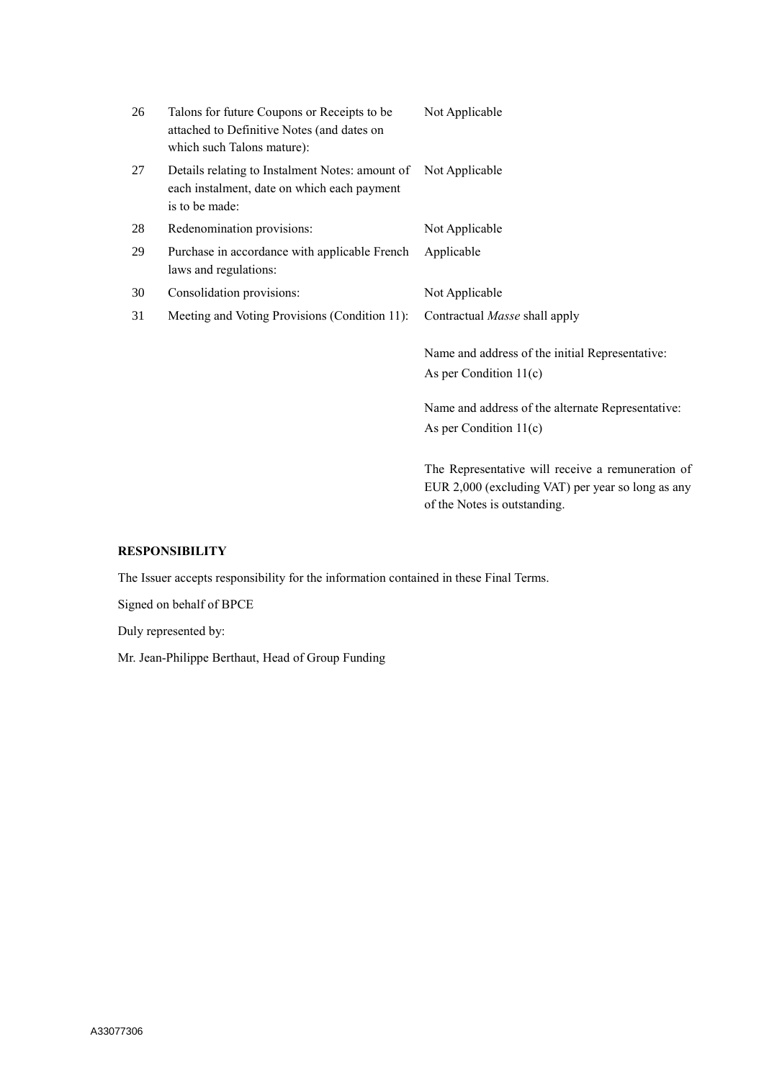| 26 | Talons for future Coupons or Receipts to be<br>attached to Definitive Notes (and dates on<br>which such Talons mature):         | Not Applicable                                                                                         |
|----|---------------------------------------------------------------------------------------------------------------------------------|--------------------------------------------------------------------------------------------------------|
| 27 | Details relating to Instalment Notes: amount of Not Applicable<br>each instalment, date on which each payment<br>is to be made: |                                                                                                        |
| 28 | Redenomination provisions:                                                                                                      | Not Applicable                                                                                         |
| 29 | Purchase in accordance with applicable French<br>laws and regulations:                                                          | Applicable                                                                                             |
| 30 | Consolidation provisions:                                                                                                       | Not Applicable                                                                                         |
| 31 | Meeting and Voting Provisions (Condition 11):                                                                                   | Contractual Masse shall apply                                                                          |
|    |                                                                                                                                 | Name and address of the initial Representative:<br>As per Condition $11(c)$                            |
|    |                                                                                                                                 | Name and address of the alternate Representative:<br>As per Condition $11(c)$                          |
|    |                                                                                                                                 | The Representative will receive a remuneration of<br>EUR 2,000 (excluding VAT) per year so long as any |

of the Notes is outstanding.

# **RESPONSIBILITY**

The Issuer accepts responsibility for the information contained in these Final Terms.

Signed on behalf of BPCE

Duly represented by:

Mr. Jean-Philippe Berthaut, Head of Group Funding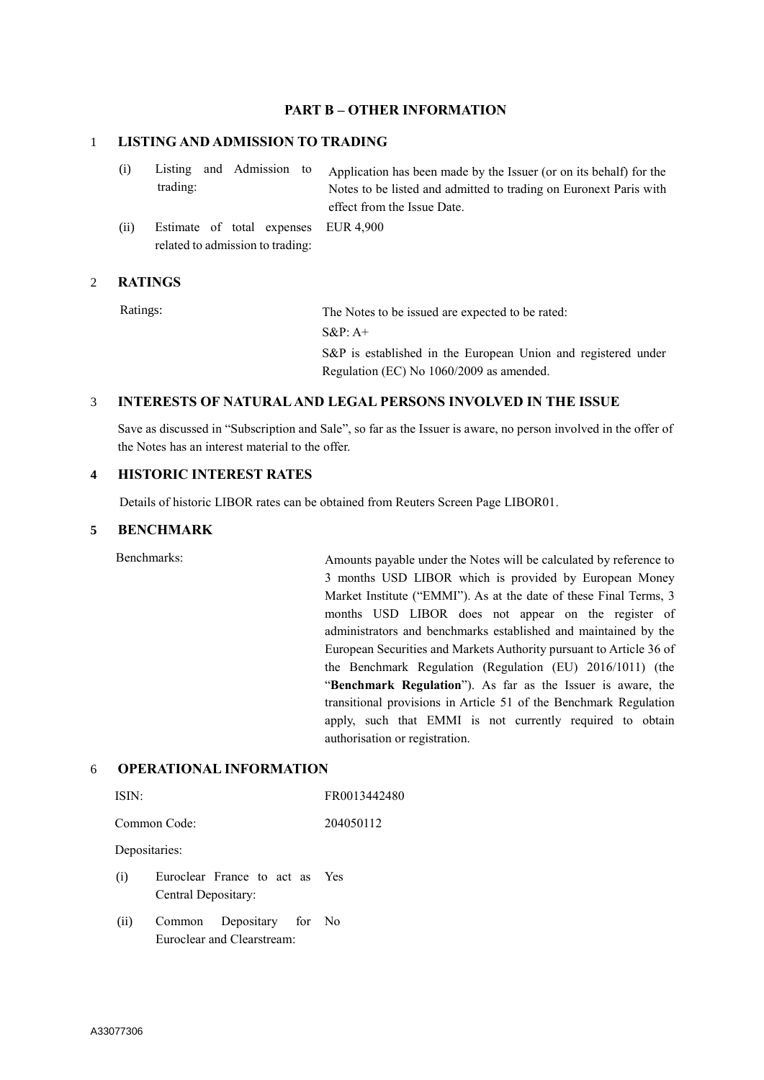## **PART B – OTHER INFORMATION**

#### 1 **LISTING AND ADMISSION TO TRADING**

| (i)  | trading: |  | Listing and Admission to Application has been made by the Issuer (or on its behalf) for the<br>Notes to be listed and admitted to trading on Euronext Paris with |
|------|----------|--|------------------------------------------------------------------------------------------------------------------------------------------------------------------|
|      |          |  | effect from the Issue Date.                                                                                                                                      |
| (ii) |          |  | Estimate of total expenses EUR 4,900                                                                                                                             |

related to admission to trading:

#### 2 **RATINGS**

Ratings: The Notes to be issued are expected to be rated: S&P: A+ S&P is established in the European Union and registered under Regulation (EC) No 1060/2009 as amended.

#### 3 **INTERESTS OF NATURAL AND LEGAL PERSONS INVOLVED IN THE ISSUE**

Save as discussed in "Subscription and Sale", so far as the Issuer is aware, no person involved in the offer of the Notes has an interest material to the offer.

# **4 HISTORIC INTEREST RATES**

Details of historic LIBOR rates can be obtained from Reuters Screen Page LIBOR01.

## **5 BENCHMARK**

Benchmarks: Amounts payable under the Notes will be calculated by reference to 3 months USD LIBOR which is provided by European Money Market Institute ("EMMI"). As at the date of these Final Terms, 3 months USD LIBOR does not appear on the register of administrators and benchmarks established and maintained by the European Securities and Markets Authority pursuant to Article 36 of the Benchmark Regulation (Regulation (EU) 2016/1011) (the "**Benchmark Regulation**"). As far as the Issuer is aware, the transitional provisions in Article 51 of the Benchmark Regulation apply, such that EMMI is not currently required to obtain authorisation or registration.

#### 6 **OPERATIONAL INFORMATION**

| ISIN:        | FR0013442480 |  |  |
|--------------|--------------|--|--|
| Common Code: | 204050112    |  |  |

Depositaries:

- (i) Euroclear France to act as Yes Central Depositary:
- (ii) Common Depositary Euroclear and Clearstream: for No